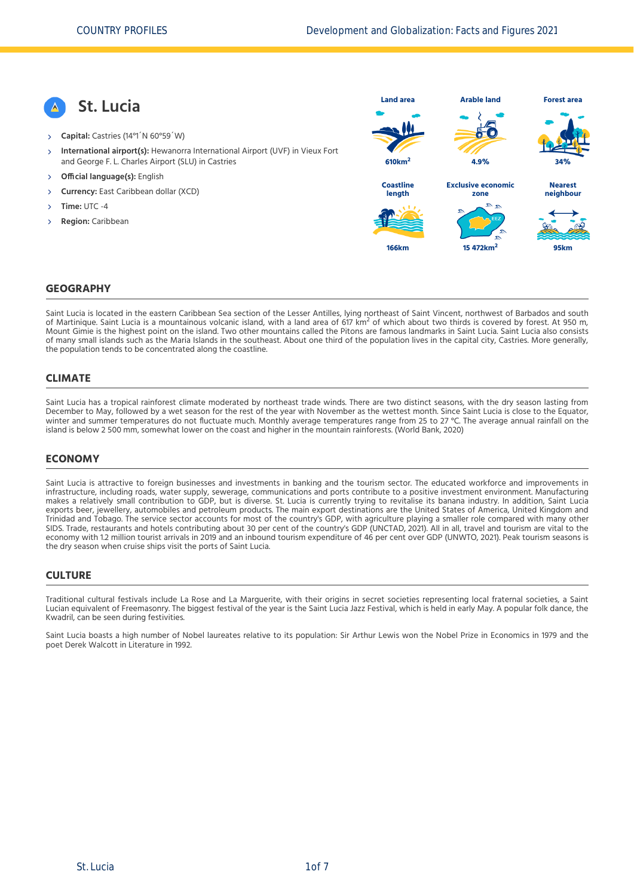**St. Lucia Capital:** Castries (14°1´N 60°59´W) **International airport(s):** Hewanorra International Airport (UVF) in Vieux Fort and George F. L. Charles Airport (SLU) in Castries  $\overline{\phantom{a}}$  **Official language(s):** English **Currency:** East Caribbean dollar (XCD) **Time:** UTC -4 **Region:** Caribbean **Land area 610km<sup>2</sup> Arable land 4.9% Forest area 34% Coastline length 166km Exclusive economic zone 15 472km<sup>2</sup> Nearest neighbour 95km**

#### **GEOGRAPHY**

Saint Lucia is located in the eastern Caribbean Sea section of the Lesser Antilles, lying northeast of Saint Vincent, northwest of Barbados and south of Martinique. Saint Lucia is a mountainous volcanic island, with a land area of 617 km<sup>2</sup> of which about two thirds is covered by forest. At 950 m,<br>Mentinique. Saint Lucia is a mountainous volcanic island, with a land are Mount Gimie is the highest point on the island. Two other mountains called the Pitons are famous landmarks in Saint Lucia. Saint Lucia also consists of many small islands such as the Maria Islands in the southeast. About one third of the population lives in the capital city, Castries. More generally, the population tends to be concentrated along the coastline.

#### **CLIMATE**

Saint Lucia has a tropical rainforest climate moderated by northeast trade winds. There are two distinct seasons, with the dry season lasting from December to May, followed by a wet season for the rest of the year with November as the wettest month. Since Saint Lucia is close to the Equator, winter and summer temperatures do not fluctuate much. Monthly average temperatures range from 25 to 27 °C. The average annual rainfall on the island is below 2 500 mm, somewhat lower on the coast and higher in the mountain rainforests. [\(World Bank, 2020\)](#page-6-0)

#### **ECONOMY**

Saint Lucia is attractive to foreign businesses and investments in banking and the tourism sector. The educated workforce and improvements in infrastructure, including roads, water supply, sewerage, communications and ports contribute to a positive investment environment. Manufacturing makes a relatively small contribution to GDP, but is diverse. St. Lucia is currently trying to revitalise its banana industry. In addition, Saint Lucia exports beer, jewellery, automobiles and petroleum products. The main export destinations are the United States of America, United Kingdom and Trinidad and Tobago. The service sector accounts for most of the country's GDP, with agriculture playing a smaller role compared with many other SIDS. Trade, restaurants and hotels contributing about 30 per cent of the country's GDP [\(UNCTAD, 2021\)](#page-6-1). All in all, travel and tourism are vital to the economy with 1.2 million tourist arrivals in 2019 and an inbound tourism expenditure of 46 per cent over GDP [\(UNWTO, 2021\).](#page-6-2) Peak tourism seasons is the dry season when cruise ships visit the ports of Saint Lucia.

#### **CULTURE**

Traditional cultural festivals include La Rose and La Marguerite, with their origins in secret societies representing local fraternal societies, a Saint Lucian equivalent of Freemasonry. The biggest festival of the year is the Saint Lucia Jazz Festival, which is held in early May. A popular folk dance, the Kwadril, can be seen during festivities.

Saint Lucia boasts a high number of Nobel laureates relative to its population: Sir Arthur Lewis won the Nobel Prize in Economics in 1979 and the poet Derek Walcott in Literature in 1992.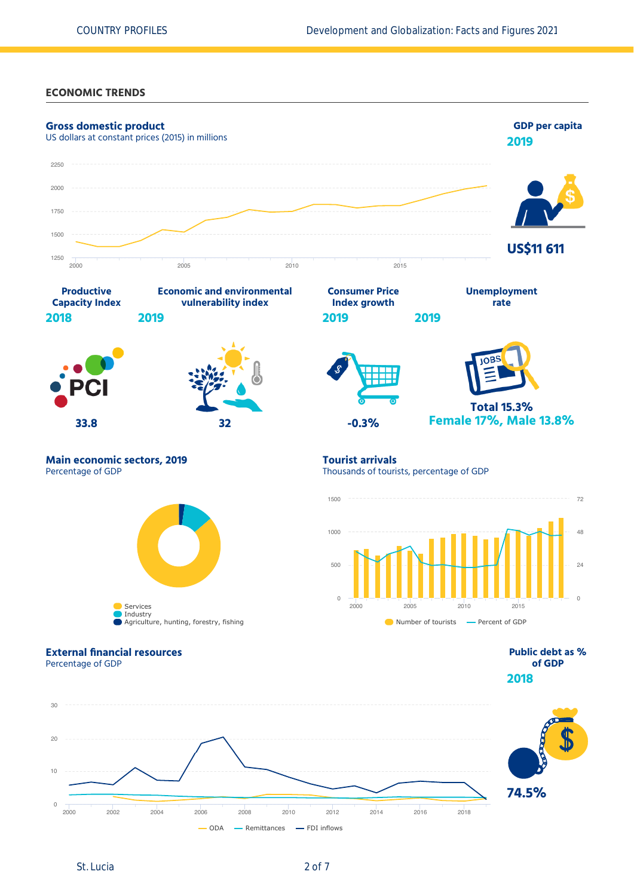## **ECONOMIC TRENDS**



St. Lucia 2 of 7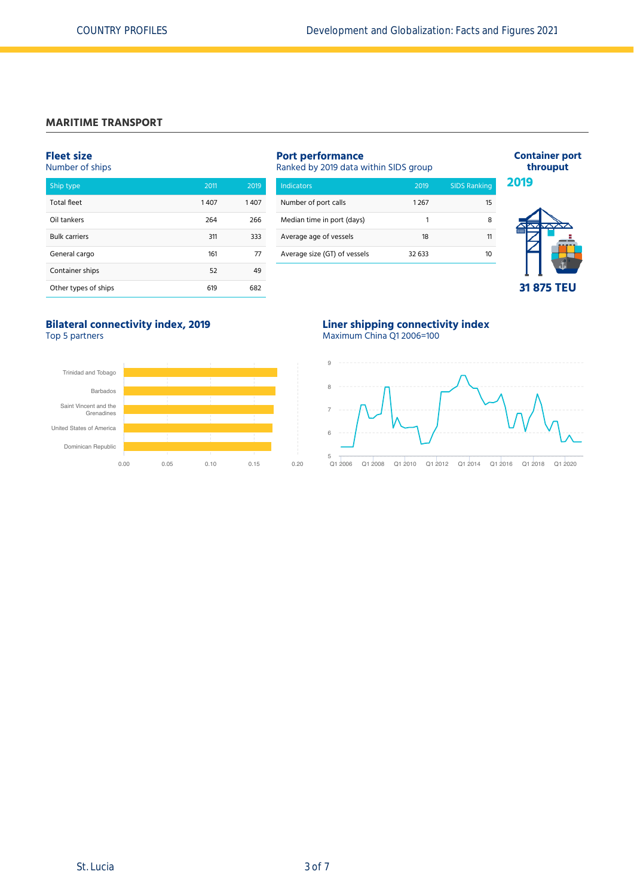## **MARITIME TRANSPORT**

#### **Fleet size**

Number of ships

| Ship type            | 2011 | 2019 |
|----------------------|------|------|
|                      |      |      |
| <b>Total fleet</b>   | 1407 | 1407 |
| Oil tankers          | 264  | 266  |
| <b>Bulk carriers</b> | 311  | 333  |
| General cargo        | 161  | 77   |
| Container ships      | 52   | 49   |
| Other types of ships | 619  | 682  |

# **Port performance**

Ranked by 2019 data within SIDS group

| Indicators                   | 2019   | <b>SIDS Ranking</b> |
|------------------------------|--------|---------------------|
| Number of port calls         | 1267   | 15                  |
| Median time in port (days)   | 1      |                     |
| Average age of vessels       | 18     | 11                  |
| Average size (GT) of vessels | 32.633 |                     |
|                              |        |                     |



**Container port throuput**

# **31 875 TEU**

## **Bilateral connectivity index, 2019** Top 5 partners



## **Liner shipping connectivity index** Maximum China Q1 2006=100



Q1 2006 Q1 2008 Q1 2010 Q1 2012 Q1 2014 Q1 2016 Q1 2018 Q1 2020  $rac{5}{01}$  2006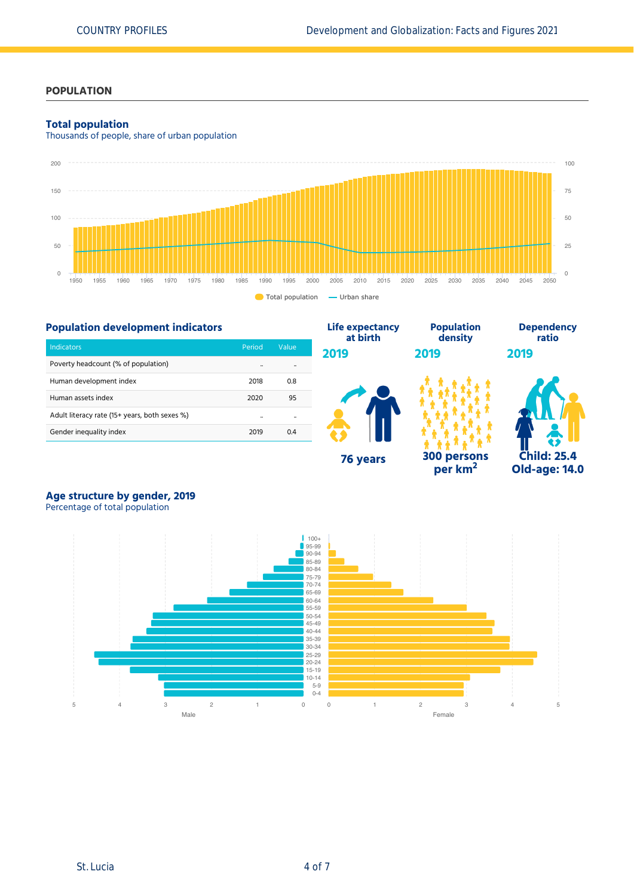## **POPULATION**

#### **Total population**

Thousands of people, share of urban population



**Life expectancy**

## **Population development indicators**

| Indicators                                    | Period | Value |
|-----------------------------------------------|--------|-------|
| Poverty headcount (% of population)           |        |       |
| Human development index                       | 2018   | 0.8   |
| Human assets index                            | 2020   | 95    |
| Adult literacy rate (15+ years, both sexes %) |        |       |
| Gender inequality index                       | 2019   | 04    |



**Population**

**per km<sup>2</sup>**



**Dependency**

# **Age structure by gender, 2019**

Percentage of total population

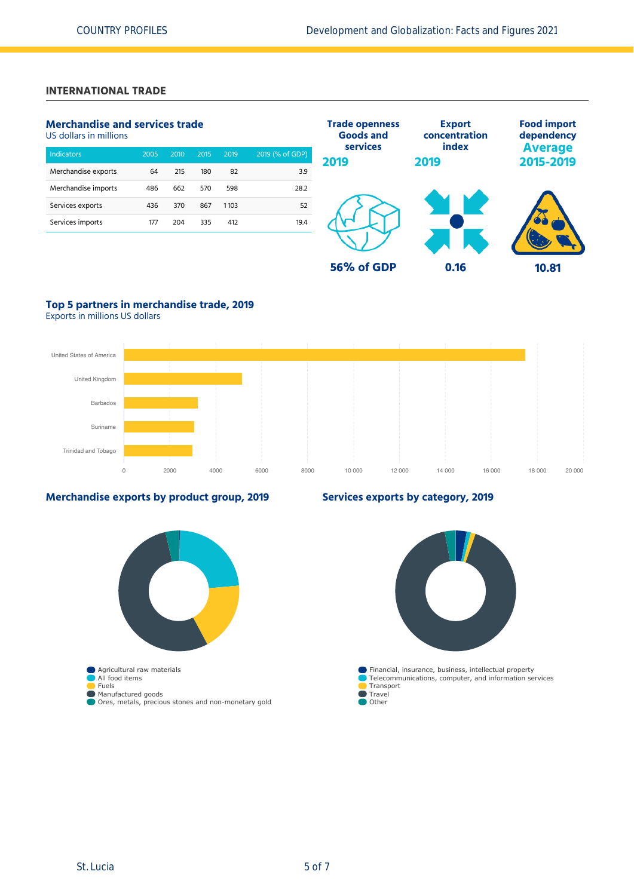## **INTERNATIONAL TRADE**

## **Merchandise and services trade**

US dollars in millions

| <b>Indicators</b>   | 2005 | 2010 | 2015 | 2019 | 2019 (% of GDP) |
|---------------------|------|------|------|------|-----------------|
| Merchandise exports | 64   | 215  | 180  | 82   | 3.9             |
| Merchandise imports | 486  | 662  | 570  | 598  | 28.2            |
| Services exports    | 436  | 370  | 867  | 1103 | 52              |
| Services imports    | 177  | 204  | 335  | 412  | 19.4            |
|                     |      |      |      |      |                 |



## **Top 5 partners in merchandise trade, 2019**

Exports in millions US dollars



### **Merchandise exports by product group, 2019**



## **Services exports by category, 2019**

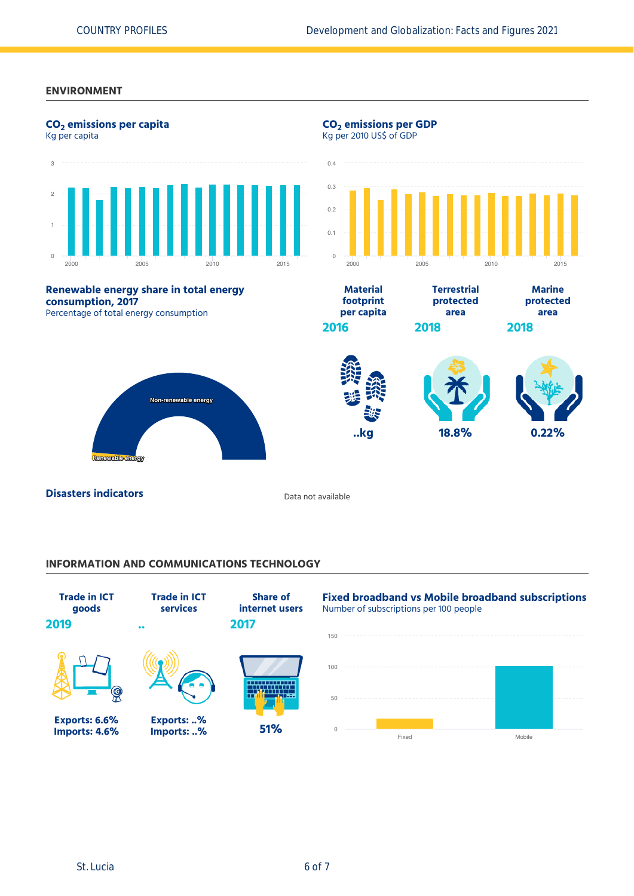#### **ENVIRONMENT**



## **INFORMATION AND COMMUNICATIONS TECHNOLOGY**